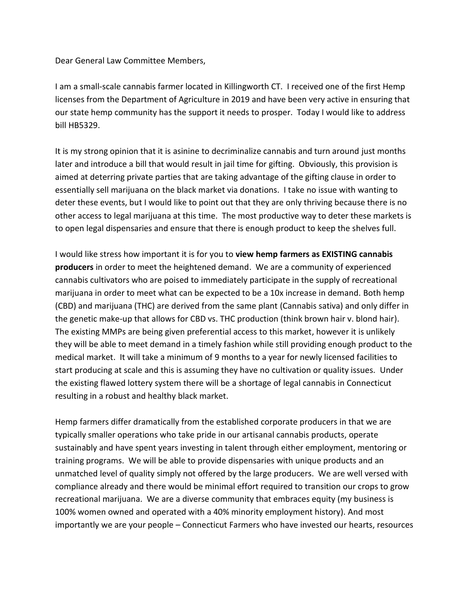Dear General Law Committee Members,

I am a small-scale cannabis farmer located in Killingworth CT. I received one of the first Hemp licenses from the Department of Agriculture in 2019 and have been very active in ensuring that our state hemp community has the support it needs to prosper. Today I would like to address bill HB5329.

It is my strong opinion that it is asinine to decriminalize cannabis and turn around just months later and introduce a bill that would result in jail time for gifting. Obviously, this provision is aimed at deterring private parties that are taking advantage of the gifting clause in order to essentially sell marijuana on the black market via donations. I take no issue with wanting to deter these events, but I would like to point out that they are only thriving because there is no other access to legal marijuana at this time. The most productive way to deter these markets is to open legal dispensaries and ensure that there is enough product to keep the shelves full.

I would like stress how important it is for you to **view hemp farmers as EXISTING cannabis producers** in order to meet the heightened demand. We are a community of experienced cannabis cultivators who are poised to immediately participate in the supply of recreational marijuana in order to meet what can be expected to be a 10x increase in demand. Both hemp (CBD) and marijuana (THC) are derived from the same plant (Cannabis sativa) and only differ in the genetic make-up that allows for CBD vs. THC production (think brown hair v. blond hair). The existing MMPs are being given preferential access to this market, however it is unlikely they will be able to meet demand in a timely fashion while still providing enough product to the medical market. It will take a minimum of 9 months to a year for newly licensed facilities to start producing at scale and this is assuming they have no cultivation or quality issues. Under the existing flawed lottery system there will be a shortage of legal cannabis in Connecticut resulting in a robust and healthy black market.

Hemp farmers differ dramatically from the established corporate producers in that we are typically smaller operations who take pride in our artisanal cannabis products, operate sustainably and have spent years investing in talent through either employment, mentoring or training programs. We will be able to provide dispensaries with unique products and an unmatched level of quality simply not offered by the large producers. We are well versed with compliance already and there would be minimal effort required to transition our crops to grow recreational marijuana. We are a diverse community that embraces equity (my business is 100% women owned and operated with a 40% minority employment history). And most importantly we are your people – Connecticut Farmers who have invested our hearts, resources